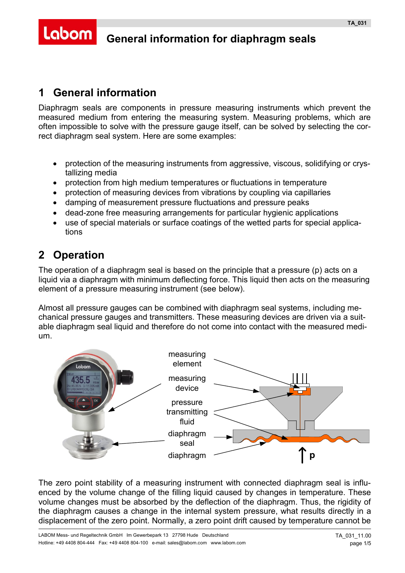# **General information for diaphragm seals**

#### **1 General information**

Labom

Diaphragm seals are components in pressure measuring instruments which prevent the measured medium from entering the measuring system. Measuring problems, which are often impossible to solve with the pressure gauge itself, can be solved by selecting the correct diaphragm seal system. Here are some examples:

- protection of the measuring instruments from aggressive, viscous, solidifying or crystallizing media
- protection from high medium temperatures or fluctuations in temperature
- protection of measuring devices from vibrations by coupling via capillaries
- damping of measurement pressure fluctuations and pressure peaks
- dead-zone free measuring arrangements for particular hygienic applications
- use of special materials or surface coatings of the wetted parts for special applications

# **2 Operation**

The operation of a diaphragm seal is based on the principle that a pressure (p) acts on a liquid via a diaphragm with minimum deflecting force. This liquid then acts on the measuring element of a pressure measuring instrument (see below).

Almost all pressure gauges can be combined with diaphragm seal systems, including mechanical pressure gauges and transmitters. These measuring devices are driven via a suitable diaphragm seal liquid and therefore do not come into contact with the measured medium.



The zero point stability of a measuring instrument with connected diaphragm seal is influenced by the volume change of the filling liquid caused by changes in temperature. These volume changes must be absorbed by the deflection of the diaphragm. Thus, the rigidity of the diaphragm causes a change in the internal system pressure, what results directly in a displacement of the zero point. Normally, a zero point drift caused by temperature cannot be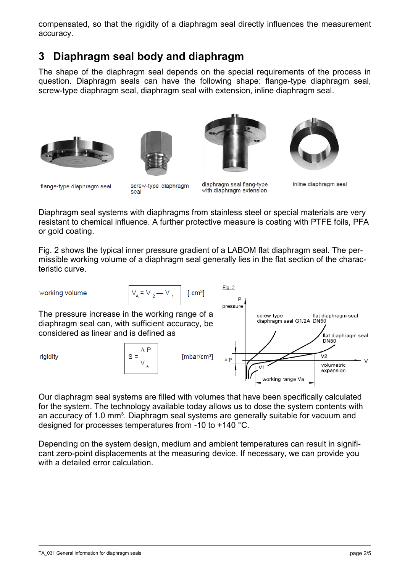compensated, so that the rigidity of a diaphragm seal directly influences the measurement accuracy.

### **3 Diaphragm seal body and diaphragm**

The shape of the diaphragm seal depends on the special requirements of the process in question. Diaphragm seals can have the following shape: flange-type diaphragm seal, screw-type diaphragm seal, diaphragm seal with extension, inline diaphragm seal.









flange-type diaphragm seal

screw-type diaphragm seal

diaphragm seal flang-type with diaphragm extension

 $Fig. 2$ 

inline diaphragm seal

Diaphragm seal systems with diaphragms from stainless steel or special materials are very resistant to chemical influence. A further protective measure is coating with PTFE foils, PFA or gold coating.

Fig. 2 shows the typical inner pressure gradient of a LABOM flat diaphragm seal. The permissible working volume of a diaphragm seal generally lies in the flat section of the characteristic curve.

working volume

$$
V_{A} = V_{2} - V_{1}
$$
 [cm<sup>3</sup>]

The pressure increase in the working range of a diaphragm seal can, with sufficient accuracy, be considered as linear and is defined as

rigidity





Our diaphragm seal systems are filled with volumes that have been specifically calculated for the system. The technology available today allows us to dose the system contents with an accuracy of 1.0 mm<sup>3</sup>. Diaphragm seal systems are generally suitable for vacuum and designed for processes temperatures from -10 to +140 °C.

Depending on the system design, medium and ambient temperatures can result in significant zero-point displacements at the measuring device. If necessary, we can provide you with a detailed error calculation.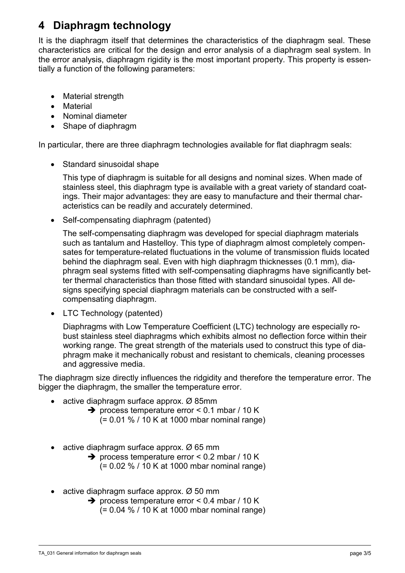# **4 Diaphragm technology**

It is the diaphragm itself that determines the characteristics of the diaphragm seal. These characteristics are critical for the design and error analysis of a diaphragm seal system. In the error analysis, diaphragm rigidity is the most important property. This property is essentially a function of the following parameters:

- Material strength
- Material
- Nominal diameter
- Shape of diaphragm

In particular, there are three diaphragm technologies available for flat diaphragm seals:

• Standard sinusoidal shape

This type of diaphragm is suitable for all designs and nominal sizes. When made of stainless steel, this diaphragm type is available with a great variety of standard coatings. Their major advantages: they are easy to manufacture and their thermal characteristics can be readily and accurately determined.

• Self-compensating diaphragm (patented)

The self-compensating diaphragm was developed for special diaphragm materials such as tantalum and Hastelloy. This type of diaphragm almost completely compensates for temperature-related fluctuations in the volume of transmission fluids located behind the diaphragm seal. Even with high diaphragm thicknesses (0.1 mm), diaphragm seal systems fitted with self-compensating diaphragms have significantly better thermal characteristics than those fitted with standard sinusoidal types. All designs specifying special diaphragm materials can be constructed with a selfcompensating diaphragm.

• LTC Technology (patented)

Diaphragms with Low Temperature Coefficient (LTC) technology are especially robust stainless steel diaphragms which exhibits almost no deflection force within their working range. The great strength of the materials used to construct this type of diaphragm make it mechanically robust and resistant to chemicals, cleaning processes and aggressive media.

The diaphragm size directly influences the ridgidity and therefore the temperature error. The bigger the diaphragm, the smaller the temperature error.

- active diaphragm surface approx.  $\varnothing$  85mm
	- $\rightarrow$  process temperature error < 0.1 mbar / 10 K (= 0.01 % / 10 K at 1000 mbar nominal range)
- active diaphragm surface approx.  $\varnothing$  65 mm
	- $\rightarrow$  process temperature error < 0.2 mbar / 10 K (= 0.02 % / 10 K at 1000 mbar nominal range)
- active diaphragm surface approx. Ø 50 mm
	- $\rightarrow$  process temperature error < 0.4 mbar / 10 K (= 0.04 % / 10 K at 1000 mbar nominal range)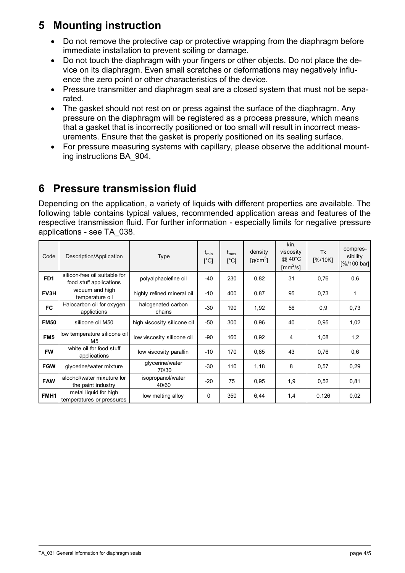### **5 Mounting instruction**

- Do not remove the protective cap or protective wrapping from the diaphragm before immediate installation to prevent soiling or damage.
- Do not touch the diaphragm with your fingers or other objects. Do not place the device on its diaphragm. Even small scratches or deformations may negatively influence the zero point or other characteristics of the device.
- Pressure transmitter and diaphragm seal are a closed system that must not be separated.
- The gasket should not rest on or press against the surface of the diaphragm. Any pressure on the diaphragm will be registered as a process pressure, which means that a gasket that is incorrectly positioned or too small will result in incorrect measurements. Ensure that the gasket is properly positioned on its sealing surface.
- For pressure measuring systems with capillary, please observe the additional mounting instructions BA\_904.

## **6 Pressure transmission fluid**

Depending on the application, a variety of liquids with different properties are available. The following table contains typical values, recommended application areas and features of the respective transmission fluid. For further information - especially limits for negative pressure applications - see TA\_038.

| Code             | Description/Application                                  | <b>Type</b>                  | $t_{\text{min}}$<br>$[^{\circ}C]$ | $t_{\rm max}$<br>[°C] | density<br>$[g/cm^3]$ | kin.<br>viscosity<br>$@.40^{\circ}$ C<br>$\text{[mm}^2/\text{s}]$ | Tk<br>[%/10K] | compres-<br>sibility<br>[%/100 bar] |
|------------------|----------------------------------------------------------|------------------------------|-----------------------------------|-----------------------|-----------------------|-------------------------------------------------------------------|---------------|-------------------------------------|
| FD <sub>1</sub>  | silicon-free oil suitable for<br>food stuff applications | polyalphaolefine oil         | -40                               | 230                   | 0,82                  | 31                                                                | 0.76          | 0,6                                 |
| FV3H             | vacuum and high<br>temperature oil                       | highly refined mineral oil   | $-10$                             | 400                   | 0,87                  | 95                                                                | 0.73          | 1                                   |
| <b>FC</b>        | Halocarbon oil for oxygen<br>applictions                 | halogenated carbon<br>chains | -30                               | 190                   | 1,92                  | 56                                                                | 0,9           | 0,73                                |
| <b>FM50</b>      | silicone oil M50                                         | high viscosity silicone oil  | $-50$                             | 300                   | 0,96                  | 40                                                                | 0.95          | 1,02                                |
| FM <sub>5</sub>  | low temperature silicone oil<br>M5                       | low viscosity silicone oil   | -90                               | 160                   | 0,92                  | 4                                                                 | 1,08          | 1,2                                 |
| <b>FW</b>        | white oil for food stuff<br>applications                 | low viscosity paraffin       | $-10$                             | 170                   | 0,85                  | 43                                                                | 0.76          | 0,6                                 |
| <b>FGW</b>       | glycerine/water mixture                                  | glycerine/water<br>70/30     | -30                               | 110                   | 1,18                  | 8                                                                 | 0.57          | 0,29                                |
| <b>FAW</b>       | alcohol/water mixuture for<br>the paint industry         | isopropanol/water<br>40/60   | $-20$                             | 75                    | 0,95                  | 1,9                                                               | 0,52          | 0,81                                |
| FMH <sub>1</sub> | metal liquid for high<br>temperatures or pressures       | low melting alloy            | 0                                 | 350                   | 6,44                  | 1,4                                                               | 0,126         | 0,02                                |